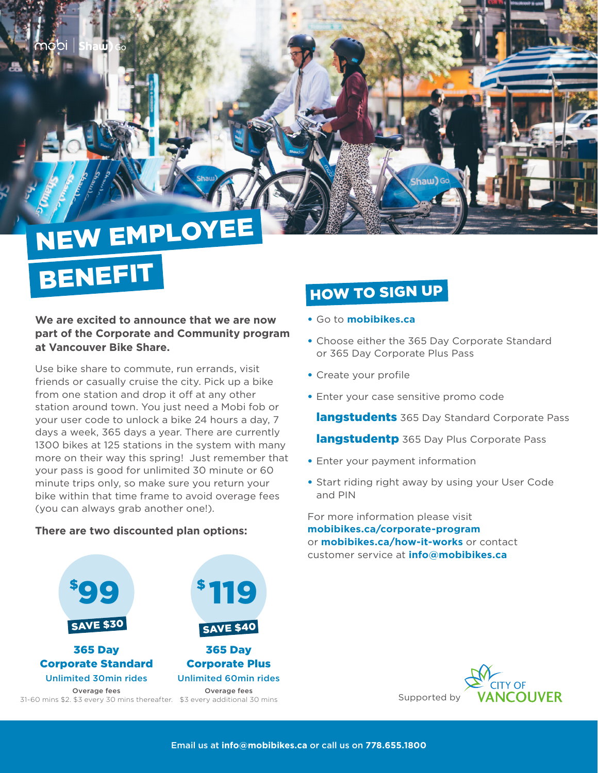## NEW EMPLOYEE BENEFIT

**We are excited to announce that we are now part of the Corporate and Community program at Vancouver Bike Share.**

Use bike share to commute, run errands, visit friends or casually cruise the city. Pick up a bike from one station and drop it off at any other station around town. You just need a Mobi fob or your user code to unlock a bike 24 hours a day, 7 days a week, 365 days a year. There are currently 1300 bikes at 125 stations in the system with many more on their way this spring! Just remember that your pass is good for unlimited 30 minute or 60 minute trips only, so make sure you return your bike within that time frame to avoid overage fees (you can always grab another one!).

### **There are two discounted plan options:**



## HOW TO SIGN UP

- Go to **mobibikes.ca**
- Choose either the 365 Day Corporate Standard or 365 Day Corporate Plus Pass

Shaw) Go

- Create your profile
- Enter your case sensitive promo code

langstudents 365 Day Standard Corporate Pass

langstudentp 365 Day Plus Corporate Pass

- Enter your payment information
- Start riding right away by using your User Code and PIN

For more information please visit **mobibikes.ca/corporate-program** or **mobibikes.ca/how-it-works** or contact customer service at **info@mobibikes.ca**



Supported by